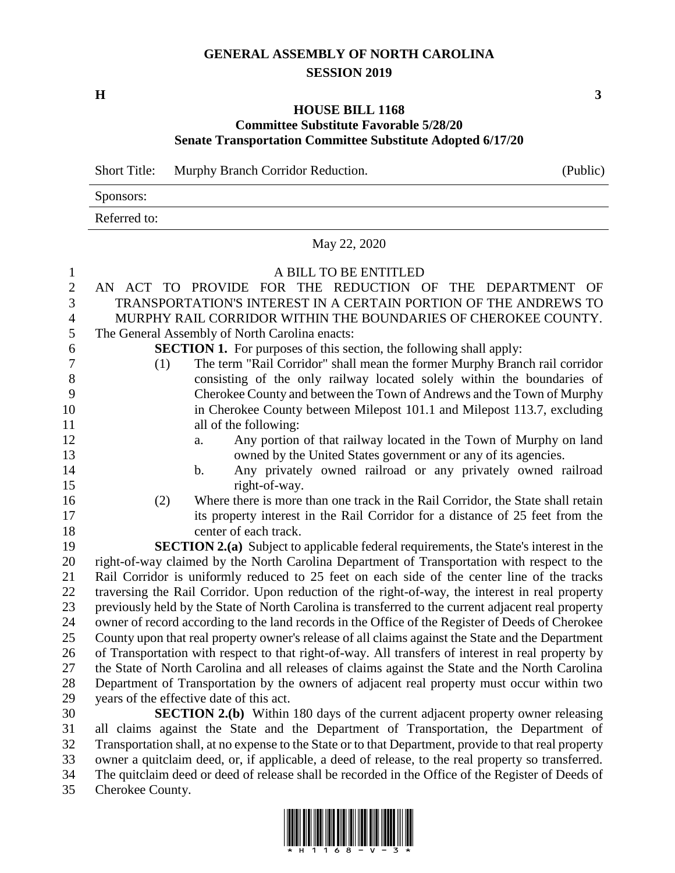## **GENERAL ASSEMBLY OF NORTH CAROLINA SESSION 2019**

**H 3**

## **HOUSE BILL 1168 Committee Substitute Favorable 5/28/20 Senate Transportation Committee Substitute Adopted 6/17/20**

Short Title: Murphy Branch Corridor Reduction. (Public) Sponsors: Referred to:

May 22, 2020

## 1 A BILL TO BE ENTITLED

| л.             | A DILL TO DE ENTITEED                                                                               |
|----------------|-----------------------------------------------------------------------------------------------------|
| $\mathbf{2}$   | AN ACT TO PROVIDE FOR THE REDUCTION OF THE DEPARTMENT OF                                            |
| 3              | TRANSPORTATION'S INTEREST IN A CERTAIN PORTION OF THE ANDREWS TO                                    |
| $\overline{4}$ | MURPHY RAIL CORRIDOR WITHIN THE BOUNDARIES OF CHEROKEE COUNTY.                                      |
| 5              | The General Assembly of North Carolina enacts:                                                      |
| 6              | <b>SECTION 1.</b> For purposes of this section, the following shall apply:                          |
| $\tau$         | The term "Rail Corridor" shall mean the former Murphy Branch rail corridor<br>(1)                   |
| 8              | consisting of the only railway located solely within the boundaries of                              |
| 9              | Cherokee County and between the Town of Andrews and the Town of Murphy                              |
| 10             | in Cherokee County between Milepost 101.1 and Milepost 113.7, excluding                             |
| 11             | all of the following:                                                                               |
| 12             | Any portion of that railway located in the Town of Murphy on land<br>a.                             |
| 13             | owned by the United States government or any of its agencies.                                       |
| 14             | Any privately owned railroad or any privately owned railroad<br>b.                                  |
| 15             | right-of-way.                                                                                       |
| 16             | Where there is more than one track in the Rail Corridor, the State shall retain<br>(2)              |
| 17             | its property interest in the Rail Corridor for a distance of 25 feet from the                       |
| 18             | center of each track.                                                                               |
| 19             | <b>SECTION 2.(a)</b> Subject to applicable federal requirements, the State's interest in the        |
| 20             | right-of-way claimed by the North Carolina Department of Transportation with respect to the         |
| 21             | Rail Corridor is uniformly reduced to 25 feet on each side of the center line of the tracks         |
| 22             | traversing the Rail Corridor. Upon reduction of the right-of-way, the interest in real property     |
| 23             | previously held by the State of North Carolina is transferred to the current adjacent real property |
| 24             | owner of record according to the land records in the Office of the Register of Deeds of Cherokee    |
| 25             | County upon that real property owner's release of all claims against the State and the Department   |
| 26             | of Transportation with respect to that right-of-way. All transfers of interest in real property by  |
| 27             | the State of North Carolina and all releases of claims against the State and the North Carolina     |
| 28             | Department of Transportation by the owners of adjacent real property must occur within two          |
| 29             | years of the effective date of this act.                                                            |
| 30             | <b>SECTION 2.(b)</b> Within 180 days of the current adjacent property owner releasing               |
| 31             | all claims against the State and the Department of Transportation, the Department of                |

 Transportation shall, at no expense to the State or to that Department, provide to that real property owner a quitclaim deed, or, if applicable, a deed of release, to the real property so transferred. The quitclaim deed or deed of release shall be recorded in the Office of the Register of Deeds of Cherokee County.